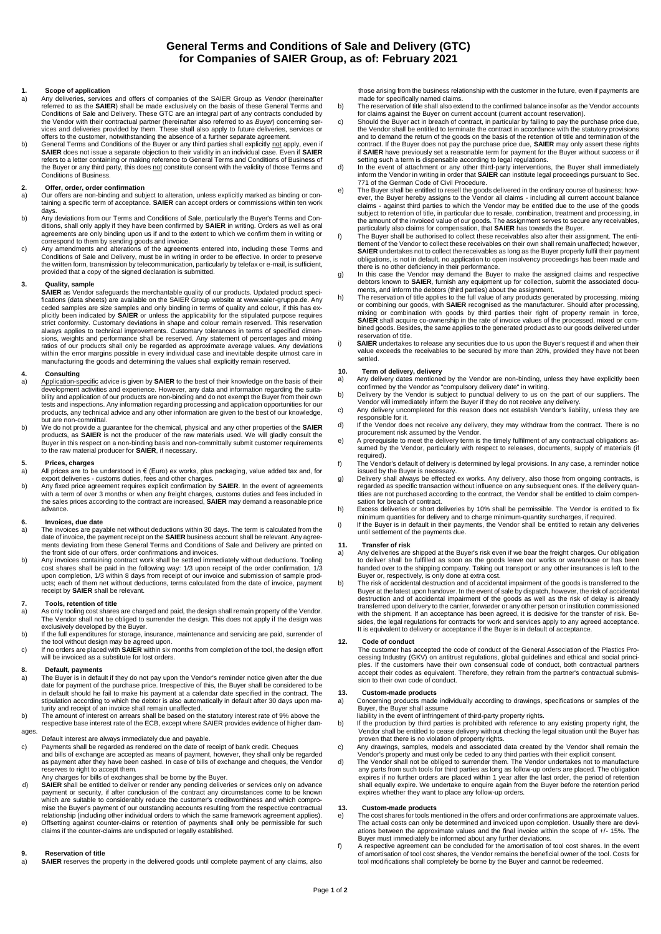# **General Terms and Conditions of Sale and Delivery (GTC) for Companies of SAIER Group, as of: February 2021**

# **1. Scope of application**

- a) Any deliveries, services and offers of companies of the SAIER Group as *Vendor* (hereinafter referred to as the **SAIER**) shall be made exclusively on the basis of these General Terms and Conditions of Sale and Delivery. These GTC are an integral part of any contracts concluded by<br>the Vendor with their contractual partner (hereinafter also referred to as *Buyer*) concerning ser-<br>vices and deliveries provide
- b) General Terms and Conditions of the Buyer or any third parties shall explicitly not apply, even if **SAIER** does not issue a separate objection to their validity in an individual case. Even if **SAIER**  refers to a letter containing or making reference to General Terms and Conditions of Business of the Buyer or any third party, this does not constitute consent with the validity of those Terms and Conditions of Business.

### **2. Offer, order, order confirmation**

- a) Our offers are non-binding and subject to alteration, unless explicitly marked as binding or con-taining a specific term of acceptance. **SAIER** can accept orders or commissions within ten work days.
- b) Any deviations from our Terms and Conditions of Sale, particularly the Buyer's Terms and Con-<br>ditions, shall only apply if they have been confirmed by **SAIER** in writing. Orders as well as oral<br>agreements are only bindi
- correspond to them by sending goods and invoice. c) Any amendments and alterations of the agreements entered into, including these Terms and Conditions of Sale and Delivery, must be in writing in order to be effective. In order to preserve the written form, transmission by telecommunication, particularly by telefax or e-mail, is sufficient, provided that a copy of the signed declaration is submitted.

### **3. Quality, sample**

**SAIER** as Vendor safeguards the merchantable quality of our products. Updated product specifications (data sheets) are available on the SAIER Group website at www.saier-gruppe.de. Any<br>ceded samples are size samples and only binding in terms of quality and colour, if this has ex-<br>plicitly been indicated by **SAIER** strict conformity. Customary deviations in shape and colour remain reserved. This reservation always applies to technical improvements. Customary tolerances in terms of specified dimensions, weights and performance shall be reserved. Any statement of percentages and mixing ratios of our products shall only be regarded as approximate average values. Any deviations within the error margins possible in every individual case and inevitable despite utmost care in manufacturing the goods and determining the values shall explicitly remain reserved.

# **4. Consulting**

- a) Application-specific advice is given by **SAIER** to the best of their knowledge on the basis of their<br>development activities and experience. However, any data and information regarding the suitability and application of our products are non-binding and do not exempt the Buyer from their own tests and inspections. Any information regarding processing and application opportunities for our products, any technical advice and any other information are given to the best of our knowledge, but are non-committal.
- b) We do not provide a guarantee for the chemical, physical and any other properties of the **SAIER**<br>products, as **SAIER** is not the producer of the raw materials used. We will gladly consult the<br>Buyer in this respect on a to the raw material producer for **SAIER**, if necessary.

### **5. Prices, charges**

- a) All prices are to be understood in  $\epsilon$  (Euro) ex works, plus packaging, value added tax and, for
- export deliveries customs duties, fees and other charges. b) Any fixed price agreement requires explicit confirmation by **SAIER**. In the event of agreements with a term of over 3 months or when any freight charges, customs duties and fees included in the sales prices according to the contract are increased, **SAIER** may demand a reasonable price advance.

### **6. Invoices, due date**

- a) The invoices are payable net without deductions within 30 days. The term is calculated from the date of invoice, the payment receipt on the **SAIER** business account shall be relevant. Any agree-ments deviating from these General Terms and Conditions of Sale and Delivery are printed on the front side of our offers, order confirmations and invoices.
- b) Any invoices containing contract work shall be settled immediately without deductions. Tooling cost shares shall be paid in the following way: 1/3 upon receipt of the order confirmation, 1/3<br>upon completion, 1/3 within 8 days from receipt of our invoice and submission of sample prod-<br>ucts; each of them net without d receipt by **SAIER** shall be relevant.

### **7. Tools, retention of title**

- a) As only tooling cost shares are charged and paid, the design shall remain property of the Vendor.<br>The Vendor shall not be obliged to surrender the design. This does not apply if the design was<br>exclusively developed by t
- b) If the full expenditures for storage, insurance, maintenance and servicing are paid, surrender of
- the tool without design may be agreed upon.<br>c) If no orders are placed with **SAIER** within six months from completion of the tool, the design effort<br>will be invoiced as a substitute for lost orders.

### **8. Default, payments**

- a) The Buyer is in default if they do not pay upon the Vendor's reminder notice given after the due date for payment of the purchase price. Irrespective of this, the Buyer shall be considered to be in default should he fail to make his payment at a calendar date specified in the contract. The stipulation according to which the debtor is also automatically in default after 30 days upon ma-
- turity and receipt of an invoice shall remain unaffected. b) The amount of interest on arrears shall be based on the statutory interest rate of 9% above the respective base interest rate of the ECB, except where SAIER provides evidence of higher dam-

## ages.

- Default interest are always immediately due and payable. c) Payments shall be regarded as rendered on the date of receipt of bank credit. Cheques and bills of exchange are accepted as means of payment, however, they shall only be regarded as payment after they have been cashed. In case of bills of exchange and cheques, the Vendor reserves to right to accept them.
- 
- Any charges for bills of exchanges shall be borne by the Buyer. d) **SAIER** shall be entitled to deliver or render any pending deliveries or services only on advance payment or security, if after conclusion of the contract any circumstances come to be known which are suitable to considerably reduce the customer's creditworthiness and which compromise the Buyer's payment of our outstanding accounts resulting from the respective contractual relationship (including other individual orders to which the same framework agreement applies).
- e) Offsetting against counter-claims or retention of payments shall only be permissible for such claims if the counter-claims are undisputed or legally established.

# **9. Reservation of title**<br>**SAIER** reserves the n

**SAIER** reserves the property in the delivered goods until complete payment of any claims, also

those arising from the business relationship with the customer in the future, even if payments are made for specifically named claims.

- b) The reservation of title shall also extend to the confirmed balance insofar as the Vendor accounts for claims against the Buyer on current account (current account reservation). c) Should the Buyer act in breach of contract, in particular by failing to pay the purchase price due,
- the Vendor shall be entitled to terminate the contract in accordance with the statutory provisions<br>and to demand the return of the goods on the basis of the retention of title and termination of the<br>contract. If the Buyer if **SAIER** have previously set a reasonable term for payment for the Buyer without success or if
- setting such a term is dispensable according to legal regulations.<br>In the event of attachment or any other third-party interventions, the Buyer shall immediately<br>inform the Vendor in writing in order that SAIER can institu
- 771 of the German Code of Civil Procedure.<br>
e) The Buyer shall be entitled to resell the goods delivered in the ordinary course of business; how-<br>
ever, the Buyer hereby assigns to the Vendor all claims including all cur subject to retention of title, in particular due to resale, combination, treatment and processing, in the amount of the invoiced value of our goods. The assignment serves to secure any receivables,
- particularly also claims for compensation, that **SAIER** has towards the Buyer.<br>The Buyer shall be authorised to collect these receivables also after their assignment. The enti-<br>tlement of the Vendor to collect these receiv **SAIER** undertakes not to collect the receivables as long as the Buyer properly fulfil their payment obligations, is not in default, no application to open insolvency proceedings has been made and
- there is no other deficiency in their performance. g) In this case the Vendor may demand the Buyer to make the assigned claims and respective debtors known to **SAIER**, furnish any equipment up for collection, submit the associated docu-ments, and inform the debtors (third parties) about the assignment.
- h) The reservation of title applies to the full value of any products generated by processing, mixing or combining our goods, with **SAIER** recognised as the manufacturer. Should after processing, mixing or combination with goods by third parties their right of property remain in force, **SAIER** shall acquire co-ownership in the rate of invoice values of the processed, mixed or combined goods. Besides, the same applies to the generated product as to our goods delivered under vation of title.
- i) **SAIER** undertakes to release any securities due to us upon the Buyer's request if and when their value exceeds the receivables to be secured by more than 20%, provided they have not been settled.

# **10. Term of delivery, delivery**<br>a) Any delivery dates mentione

- a) Any delivery dates mentioned by the Vendor are non-binding, unless they have explicitly been confirmed by the Vendor as "compulsory delivery date" in writing.
- b) Delivery by the Vendor is subject to punctual delivery to us on the part of our suppliers. The Vendor will immediately inform the Buyer if they do not receive any delivery.
- c) Any delivery uncompleted for this reason does not establish Vendor's liability, unless they are responsible for it.
- d) If the Vendor does not receive any delivery, they may withdraw from the contract. There is no<br>procurement risk assumed by the Vendor.<br>e) A prerequisite to meet the delivery term is the timely fulfilment of any contractu
- sumed by the Vendor, particularly with respect to releases, documents, supply of materials (if required).
- f) The Vendor's default of delivery is determined by legal provisions. In any case, a reminder notice issued by the Buyer is necessary.
- g) Delivery shall always be effected ex works. Any delivery, also those from ongoing contracts, is regarded as specific transaction without influence on any subsequent ones. If the delivery quantities are not purchased according to the contract, the Vendor shall be entitled to claim compensation for breach of contract.
- h) Excess deliveries or short deliveries by 10% shall be permissible. The Vendor is entitled to fix minimum quantities for delivery and to charge minimum-quantity surcharges, if required.
- i) If the Buyer is in default in their payments, the Vendor shall be entitled to retain any deliveries until settlement of the payments due.

## **11. Transfer of risk**

- a) Any deliveries are shipped at the Buyer's risk even if we bear the freight charges. Our obligation to deliver shall be fulfilled as soon as the goods leave our works or warehouse or has been handed over to the shipping company. Taking out transport or any other insurances is left to the Buyer or, respectively, is only done at extra cost.
- b) The risk of accidental destruction and of accidental impairment of the goods is transferred to the Buyer at the latest upon handover. In the event of sale by dispatch, however, the risk of accidental destruction and of accidental impairment of the goods as well as the risk of delay is already transferred upon delivery to the carrier, forwarder or any other person or institution commissioned with the shipment. If an acceptance has been agreed, it is decisive for the transfer of risk. Besides, the legal regulations for contracts for work and services apply to any agreed acceptance. It is equivalent to delivery or acceptance if the Buyer is in default of acceptance.

## **12. Code of conduct**

The customer has accepted the code of conduct of the General Association of the Plastics Processing Industry (GKV) on antitrust regulations, global guidelines and ethical and social princi-ples. If the customers have their own consensual code of conduct, both contractual partners accept their codes as equivalent. Therefore, they refrain from the partner's contractual submission to their own code of conduct.

- **13. Custom-made products** a) Concerning products made individually according to drawings, specifications or samples of the Buyer, the Buyer shall assume liability in the event of infringement of third-party property rights.
- b) If the production by third parties is prohibited with reference to any existing property right, the Vendor shall be entitled to cease delivery without checking the legal situation until the Buyer has proven that there is no violation of property rights.
- c) Any drawings, samples, models and associated data created by the Vendor shall remain the Vendor's property and must only be ceded to any third parties with their explicit consent.
- d) The Vendor shall not be obliged to surrender them. The Vendor undertakes not to manufacture any parts from such tools for third parties as long as follow-up orders are placed. The obligation expires if no further orders are placed within 1 year after the last order, the period of retention shall equally expire. We undertake to enquire again from the Buyer before the retention period expires whether they want to place any follow-up orders.

## **13. Custom-made products**

- e) The cost shares for tools mentioned in the offers and order confirmations are approximate values. The actual costs can only be determined and invoiced upon completion. Usually there are deviations between the approximate values and the final invoice within the scope of +/- 15%. The
- Buyer must immediately be informed about any further deviations.<br>A respective agreement can be concluded for the amortisation of tool cost shares. In the event<br>of amortisation of tool cost shares, the Vendor remains the be tool modifications shall completely be borne by the Buyer and cannot be redeemed.